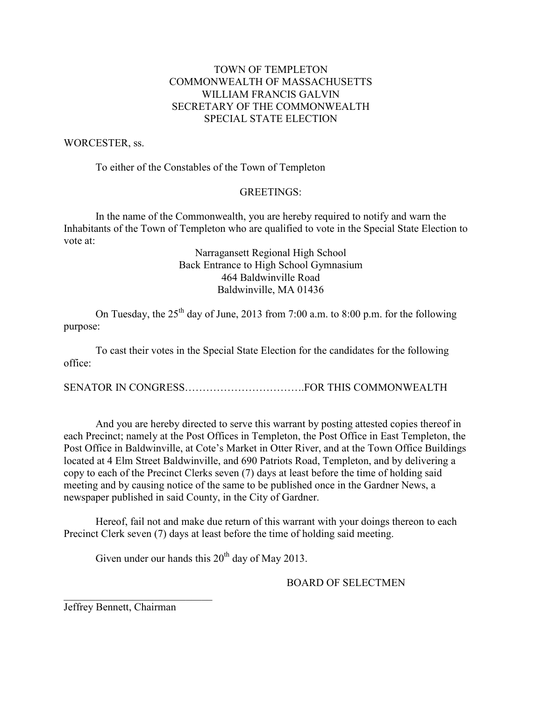## TOWN OF TEMPLETON COMMONWEALTH OF MASSACHUSETTS WILLIAM FRANCIS GALVIN SECRETARY OF THE COMMONWEALTH SPECIAL STATE ELECTION

### WORCESTER, ss.

To either of the Constables of the Town of Templeton

### GREETINGS:

 In the name of the Commonwealth, you are hereby required to notify and warn the Inhabitants of the Town of Templeton who are qualified to vote in the Special State Election to vote at:

> Narragansett Regional High School Back Entrance to High School Gymnasium 464 Baldwinville Road Baldwinville, MA 01436

On Tuesday, the  $25<sup>th</sup>$  day of June, 2013 from 7:00 a.m. to 8:00 p.m. for the following purpose:

 To cast their votes in the Special State Election for the candidates for the following office:

SENATOR IN CONGRESS…………………………….FOR THIS COMMONWEALTH

 And you are hereby directed to serve this warrant by posting attested copies thereof in each Precinct; namely at the Post Offices in Templeton, the Post Office in East Templeton, the Post Office in Baldwinville, at Cote's Market in Otter River, and at the Town Office Buildings located at 4 Elm Street Baldwinville, and 690 Patriots Road, Templeton, and by delivering a copy to each of the Precinct Clerks seven (7) days at least before the time of holding said meeting and by causing notice of the same to be published once in the Gardner News, a newspaper published in said County, in the City of Gardner.

 Hereof, fail not and make due return of this warrant with your doings thereon to each Precinct Clerk seven (7) days at least before the time of holding said meeting.

Given under our hands this  $20^{th}$  day of May 2013.

#### BOARD OF SELECTMEN

Jeffrey Bennett, Chairman

 $\overline{\phantom{a}}$  ,  $\overline{\phantom{a}}$  ,  $\overline{\phantom{a}}$  ,  $\overline{\phantom{a}}$  ,  $\overline{\phantom{a}}$  ,  $\overline{\phantom{a}}$  ,  $\overline{\phantom{a}}$  ,  $\overline{\phantom{a}}$  ,  $\overline{\phantom{a}}$  ,  $\overline{\phantom{a}}$  ,  $\overline{\phantom{a}}$  ,  $\overline{\phantom{a}}$  ,  $\overline{\phantom{a}}$  ,  $\overline{\phantom{a}}$  ,  $\overline{\phantom{a}}$  ,  $\overline{\phantom{a}}$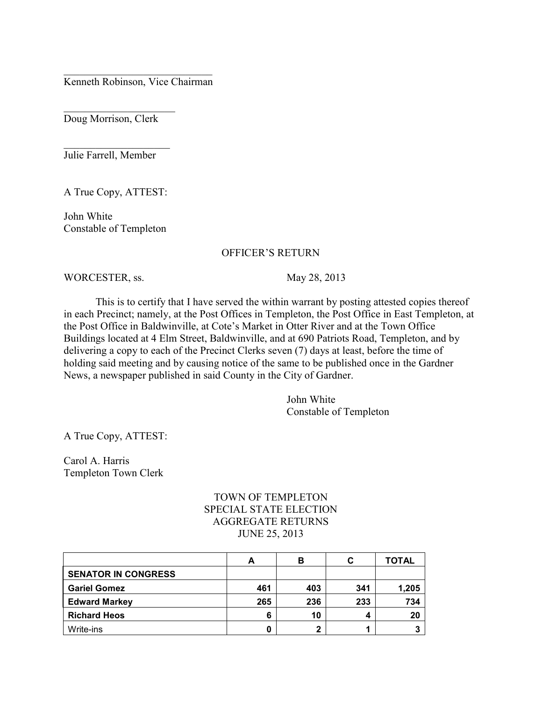$\overline{\phantom{a}}$  ,  $\overline{\phantom{a}}$  ,  $\overline{\phantom{a}}$  ,  $\overline{\phantom{a}}$  ,  $\overline{\phantom{a}}$  ,  $\overline{\phantom{a}}$  ,  $\overline{\phantom{a}}$  ,  $\overline{\phantom{a}}$  ,  $\overline{\phantom{a}}$  ,  $\overline{\phantom{a}}$  ,  $\overline{\phantom{a}}$  ,  $\overline{\phantom{a}}$  ,  $\overline{\phantom{a}}$  ,  $\overline{\phantom{a}}$  ,  $\overline{\phantom{a}}$  ,  $\overline{\phantom{a}}$ Kenneth Robinson, Vice Chairman

Doug Morrison, Clerk

 $\overline{\phantom{a}}$  , which is a set of the set of the set of the set of the set of the set of the set of the set of the set of the set of the set of the set of the set of the set of the set of the set of the set of the set of th

Julie Farrell, Member

 $\overline{\phantom{a}}$  , which is a set of the set of the set of the set of the set of the set of the set of the set of the set of the set of the set of the set of the set of the set of the set of the set of the set of the set of th

A True Copy, ATTEST:

John White Constable of Templeton

#### OFFICER'S RETURN

WORCESTER, ss. May 28, 2013

 This is to certify that I have served the within warrant by posting attested copies thereof in each Precinct; namely, at the Post Offices in Templeton, the Post Office in East Templeton, at the Post Office in Baldwinville, at Cote's Market in Otter River and at the Town Office Buildings located at 4 Elm Street, Baldwinville, and at 690 Patriots Road, Templeton, and by delivering a copy to each of the Precinct Clerks seven (7) days at least, before the time of holding said meeting and by causing notice of the same to be published once in the Gardner News, a newspaper published in said County in the City of Gardner.

> John White Constable of Templeton

A True Copy, ATTEST:

Carol A. Harris Templeton Town Clerk

# TOWN OF TEMPLETON SPECIAL STATE ELECTION AGGREGATE RETURNS JUNE 25, 2013

|                            | A   | в   | C   | TOTAL |
|----------------------------|-----|-----|-----|-------|
| <b>SENATOR IN CONGRESS</b> |     |     |     |       |
| <b>Gariel Gomez</b>        | 461 | 403 | 341 | 1,205 |
| <b>Edward Markey</b>       | 265 | 236 | 233 | 734   |
| <b>Richard Heos</b>        | 6   | 10  |     | 20    |
| Write-ins                  | 0   | ŋ   |     |       |